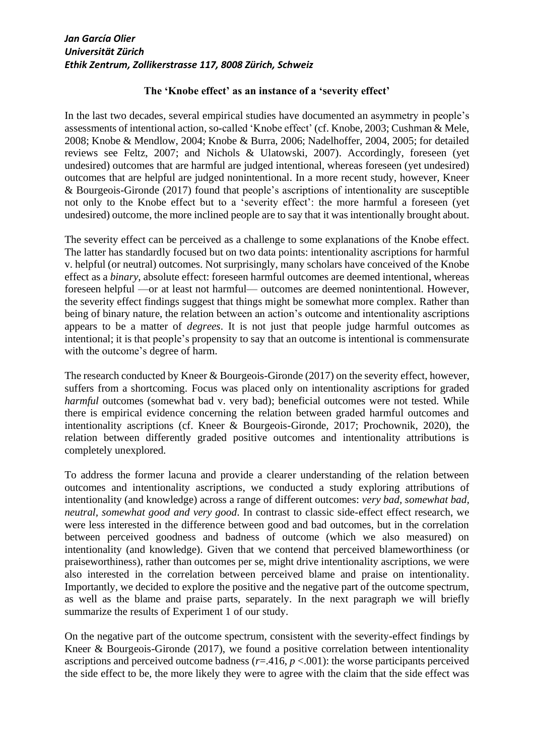## **The 'Knobe effect' as an instance of a 'severity effect'**

In the last two decades, several empirical studies have documented an asymmetry in people's assessments of intentional action, so-called 'Knobe effect' (cf. Knobe, 2003; Cushman & Mele, 2008; Knobe & Mendlow, 2004; Knobe & Burra, 2006; Nadelhoffer, 2004, 2005; for detailed reviews see Feltz, 2007; and Nichols & Ulatowski, 2007). Accordingly, foreseen (yet undesired) outcomes that are harmful are judged intentional, whereas foreseen (yet undesired) outcomes that are helpful are judged nonintentional. In a more recent study, however, Kneer & Bourgeois-Gironde (2017) found that people's ascriptions of intentionality are susceptible not only to the Knobe effect but to a 'severity effect': the more harmful a foreseen (yet undesired) outcome, the more inclined people are to say that it was intentionally brought about.

The severity effect can be perceived as a challenge to some explanations of the Knobe effect. The latter has standardly focused but on two data points: intentionality ascriptions for harmful v. helpful (or neutral) outcomes. Not surprisingly, many scholars have conceived of the Knobe effect as a *binary*, absolute effect: foreseen harmful outcomes are deemed intentional, whereas foreseen helpful —or at least not harmful— outcomes are deemed nonintentional. However, the severity effect findings suggest that things might be somewhat more complex. Rather than being of binary nature, the relation between an action's outcome and intentionality ascriptions appears to be a matter of *degrees*. It is not just that people judge harmful outcomes as intentional; it is that people's propensity to say that an outcome is intentional is commensurate with the outcome's degree of harm.

The research conducted by Kneer & Bourgeois-Gironde (2017) on the severity effect, however, suffers from a shortcoming. Focus was placed only on intentionality ascriptions for graded *harmful* outcomes (somewhat bad v. very bad); beneficial outcomes were not tested. While there is empirical evidence concerning the relation between graded harmful outcomes and intentionality ascriptions (cf. Kneer & Bourgeois-Gironde, 2017; Prochownik, 2020), the relation between differently graded positive outcomes and intentionality attributions is completely unexplored.

To address the former lacuna and provide a clearer understanding of the relation between outcomes and intentionality ascriptions, we conducted a study exploring attributions of intentionality (and knowledge) across a range of different outcomes: *very bad, somewhat bad, neutral, somewhat good and very good*. In contrast to classic side-effect effect research, we were less interested in the difference between good and bad outcomes, but in the correlation between perceived goodness and badness of outcome (which we also measured) on intentionality (and knowledge). Given that we contend that perceived blameworthiness (or praiseworthiness), rather than outcomes per se, might drive intentionality ascriptions, we were also interested in the correlation between perceived blame and praise on intentionality. Importantly, we decided to explore the positive and the negative part of the outcome spectrum, as well as the blame and praise parts, separately. In the next paragraph we will briefly summarize the results of Experiment 1 of our study.

On the negative part of the outcome spectrum, consistent with the severity-effect findings by Kneer & Bourgeois-Gironde (2017), we found a positive correlation between intentionality ascriptions and perceived outcome badness  $(r=416, p < 0.001)$ : the worse participants perceived the side effect to be, the more likely they were to agree with the claim that the side effect was